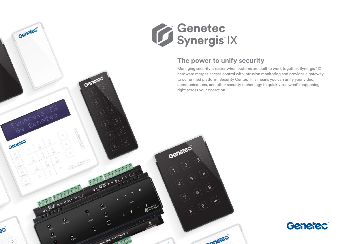



# **The power to unify security**

Managing security is easier when systems are built to work together. Synergis™ IX hardware merges access control with intrusion monitoring and provides a gateway to our unified platform, Security Center. This means you can unify your video, communications, and other security technology to quickly see what's happening – right across your operation.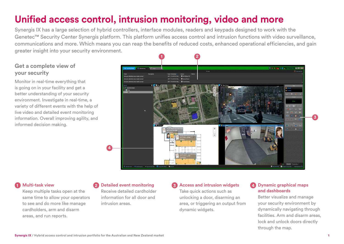# **Unified access control, intrusion monitoring, video and more**

Synergis IX has a large selection of hybrid controllers, interface modules, readers and keypads designed to work with the Genetec™ Security Center Synergis platform. This platform unifies access control and intrusion functions with video surveillance, communications and more. Which means you can reap the benefits of reduced costs, enhanced operational efficiencies, and gain greater insight into your security environment.

## **Get a complete view of your security**

Monitor in real-time everything that is going on in your facility and get a better understanding of your security environment. Investigate in real-time, a variety of different events with the help of live video and detailed event monitoring information. Overall improving agility, and informed decision making.



### **1 Multi-task view**

Keep multiple tasks open at the same time to allow your operators to see and do more like manage cardholders, arm and disarm areas, and run reports.

## **2 Detailed event monitoring**

Receive detailed cardholder information for all door and intrusion areas.

### **3 Access and intrusion widgets** Take quick actions such as unlocking a door, disarming an area, or triggering an output from dynamic widgets.

### **4 Dynamic graphical maps and dashboards**

Better visualize and manage your security environment by dynamically navigating through facilities. Arm and disarm areas, lock and unlock doors directly through the map.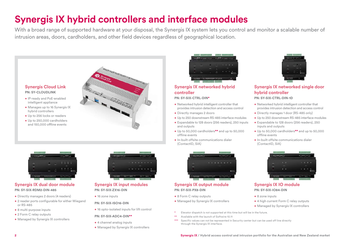# **Synergis IX hybrid controllers and interface modules**

With a broad range of supported hardware at your disposal, the Synergis IX system lets you control and monitor a scalable number of intrusion areas, doors, cardholders, and other field devices regardless of geographical location.





#### **Synergis IX dual door module PN: SY-SIX-RDM2-DIN-485**

- Directly manages 2 doors (4 readers)
- 2 reader ports configurable for either Wiegand or RS-485
- 8 multi-purpose inputs
- 2 Form C relay outputs
- Managed by Synergis IX controllers



#### **Synergis IX input modules PN: SY-SIX-ZX16-DIN**

• 16 zone inputs

#### **PN: SY-SIX-ISO16-DIN**

• 16 opto-isolated inputs for lift control

#### **PN: SY-SIX-ADC4-DIN\*\***

- 4 channel analog inputs
- Managed by Synergis IX controllers

| <b>NUMBER</b> STRAINER | $R_{11}$ $\sqrt{2}$ $\sqrt{2}$ $R_{11}$ $R_{12}$ $R_{13}$ $R_{14}$ |   |  |
|------------------------|--------------------------------------------------------------------|---|--|
| $\overline{a}$<br>л    |                                                                    |   |  |
| ×                      | E                                                                  |   |  |
|                        | <b>MONT</b>                                                        | п |  |
|                        |                                                                    |   |  |

#### **Synergis IX networked hybrid controller**

#### **PN: SY-SIX-CTRL-DIN\***

- Networked hybrid intelligent controller that provides intrusion detection and access control
- Directly manages 2 doors
- Up to 250 downstream RS-485 interface modules
- Expandable to 128 doors (256 readers), 250 inputs and outputs
- Up to 50,000 cardholders**\*\*** and up to 50,000 offline events
- In-built offsite communications dialer (ContactID, SIA)



### **Synergis IX output module PN: SY-SIX-PX8-DIN**

- 8 Form C relay outputs
- Managed by Synergis IX controllers
- Elevator dispatch is not supported at this time but will be in the future.
- Available with the launch of Softwire 10.11
- \*\*\* Specific values can not be represented in Security center but can be used off line directly through the Synergis IX interface.



### **Synergis IX networked single door hybrid controller**

#### **PN: SY-SIX-CTRL-DIN-1D**

- Networked hybrid intelligent controller that provides intrusion detection and access control
- Directly manages 1 door (RS-485 only)
- Up to 250 downstream RS-485 interface modules
- Expandable to 128 doors (256 readers), 250 inputs and outputs
- Up to 50,000 cardholders**\*\*** and up to 50,000 offline events
- In-built offsite communications dialer (ContactID, SIA)



#### **Synergis IX IO module PN: SY-SIX-IO84-DIN**

- 8 zone inputs
- 4 high current Form C relay outputs
- Managed by Synergis IX controllers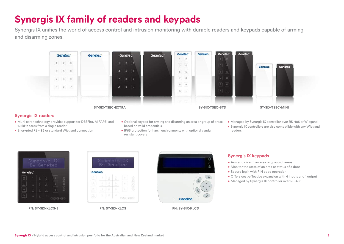# **Synergis IX family of readers and keypads**

Synergis IX unifies the world of access control and intrusion monitoring with durable readers and keypads capable of arming and disarming zones.



### **Synergis IX readers**

- Multi card technology provides support for DESFire, MIFARE, and 125kHz cards from a single reader
- Encrypted RS-485 or standard Wiegand connection
- Optional keypad for arming and disarming an area or group of areas based on valid credentials
- IP65 protection for harsh environments with optional vandal resistant covers
- Managed by Synergis IX controller over RS-485 or Wiegand
- Synergis IX controllers are also compatible with any Wiegand readers



**PN: SY-SIX-KLCS-B PN: SY-SIX-KLCS PN: SY-SIX-KLCD**





### **Synergis IX keypads**

- Arm and disarm an area or group of areas
- Monitor the state of an area or status of a door
- Secure login with PIN code operation
- Offers cost-effective expansion with 4 inputs and 1 output
- Managed by Synergis IX controller over RS-485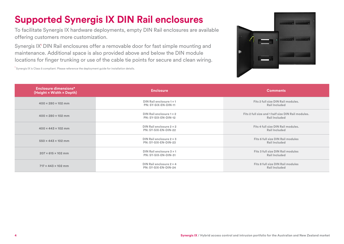# **Supported Synergis IX DIN Rail enclosures**

To facilitate Synergis IX hardware deployments, empty DIN Rail enclosures are available offering customers more customization.

Synergis IX<sup>1</sup> DIN Rail enclosures offer a removable door for fast simple mounting and maintenance. Additional space is also provided above and below the DIN module locations for finger trunking or use of the cable tie points for secure and clean wiring.



 $^{\rm 1}$  Synergis IX is Class 5 compliant. Please reference the deployment guide for installation details.

| Enclosure dimensions*<br>(Height x Width x Depth) | <b>Enclosure</b>                                        | <b>Comments</b>                                                     |  |  |
|---------------------------------------------------|---------------------------------------------------------|---------------------------------------------------------------------|--|--|
| $400 \times 280 \times 102$ mm                    | DIN Rail enclosure 1 x 1<br>PN: SY-SIX-EN-DIN-11        | Fits 2 full size DIN Rail modules.<br>Rail Included                 |  |  |
| $400 \times 280 \times 102$ mm                    | DIN Rail enclosure 1 x 2<br>PN: SY-SIX-EN-DIN-12        | Fits 2 full size and 1 half size DIN Rail modules.<br>Rail Included |  |  |
| $400 \times 443 \times 102$ mm                    | DIN Rail enclosure $2 \times 2$<br>PN: SY-SIX-EN-DIN-22 | Fits 4 full size DIN Rail modules.<br>Rail Included                 |  |  |
| $550 \times 443 \times 102$ mm                    | DIN Rail enclosure $2 \times 3$<br>PN: SY-SIX-EN-DIN-23 | Fits 6 full size DIN Rail modules<br>Rail Included                  |  |  |
| $207 \times 615 \times 102$ mm                    | DIN Rail enclosure 3 x 1<br>PN: SY-SIX-EN-DIN-31        | Fits 3 full size DIN Rail modules<br>Rail Included                  |  |  |
| $717 \times 443 \times 102$ mm                    | DIN Rail enclosure 2 x 4<br>PN: SY-SIX-EN-DIN-24        | Fits 8 full size DIN Rail modules<br>Rail Included                  |  |  |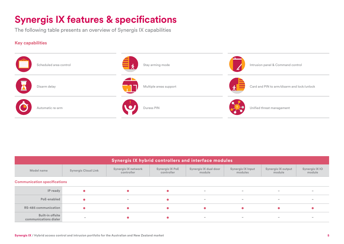# **Synergis IX features & specifications**

The following table presents an overview of Synergis IX capabilities

### **Key capabilities**



| Synergis IX hybrid controllers and interface modules |                            |                                   |                               |                                 |                                     |                                     |                          |  |
|------------------------------------------------------|----------------------------|-----------------------------------|-------------------------------|---------------------------------|-------------------------------------|-------------------------------------|--------------------------|--|
| Model name                                           | <b>Synergis Cloud Link</b> | Synergis IX network<br>controller | Synergis IX PoE<br>controller | Synergis IX dual door<br>module | <b>Synergis IX Input</b><br>modules | <b>Synergis IX output</b><br>module | Synergis IX IO<br>module |  |
| <b>Communication specifications</b>                  |                            |                                   |                               |                                 |                                     |                                     |                          |  |
| IP ready                                             |                            |                                   |                               | $\overline{\phantom{0}}$        | $\overline{\phantom{0}}$            | $\overline{\phantom{0}}$            | $\sim$                   |  |
| PoE-enabled                                          |                            | $\overline{\phantom{a}}$          |                               | $\overline{\phantom{0}}$        | $\overline{\phantom{0}}$            | $\hspace{0.1mm}-\hspace{0.1mm}$     | $\overline{\phantom{a}}$ |  |
| <b>RS-485 communication</b>                          |                            |                                   |                               |                                 |                                     |                                     |                          |  |
| <b>Built-in offsite</b><br>communications dialer     | $\sim$                     |                                   |                               | $\overline{\phantom{a}}$        | $\overline{\phantom{a}}$            | $\overline{\phantom{0}}$            |                          |  |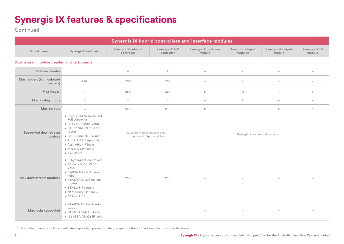# **Synergis IX features & specifications**

**Continued** 

| Synergis IX hybrid controllers and interface modules |                                                                                                                                                                                                                                         |                                                          |                               |                                 |                                 |                              |                          |  |
|------------------------------------------------------|-----------------------------------------------------------------------------------------------------------------------------------------------------------------------------------------------------------------------------------------|----------------------------------------------------------|-------------------------------|---------------------------------|---------------------------------|------------------------------|--------------------------|--|
| Model name                                           | <b>Synergis Cloud Link</b>                                                                                                                                                                                                              | Synergis IX network<br>controller                        | Synergis IX PoE<br>controller | Synergis IX dual door<br>module | Synergis IX Input<br>modules    | Synergis IX output<br>module | Synergis IX IO<br>module |  |
| Downstream module, reader, and lock counts           |                                                                                                                                                                                                                                         |                                                          |                               |                                 |                                 |                              |                          |  |
| Onboard reader                                       |                                                                                                                                                                                                                                         | $\overline{4}$                                           | $\overline{2}$                | $\overline{4}$                  | $\overline{\phantom{a}}$        | $\overline{\phantom{a}}$     | $\overline{\phantom{a}}$ |  |
| Max readers (incl. onboard<br>readers)               | 256                                                                                                                                                                                                                                     | 256                                                      | 256                           | $\overline{4}$                  | $\overline{\phantom{a}}$        | $\overline{\phantom{a}}$     | $\overline{\phantom{0}}$ |  |
| Max inputs <sup>1</sup>                              | $\sim$                                                                                                                                                                                                                                  | 250                                                      | 250                           | 8                               | 16                              | $\overline{\phantom{0}}$     | 8                        |  |
| Max analog inputs                                    | $\overline{\phantom{a}}$                                                                                                                                                                                                                | $\overline{\phantom{a}}$                                 | $\overline{\phantom{0}}$      | $\qquad \qquad =$               | $\overline{4}$                  | $\overline{\phantom{a}}$     | $\overline{\phantom{0}}$ |  |
| Max outputs                                          | $\overline{\phantom{0}}$                                                                                                                                                                                                                | 250                                                      | 250                           | 8                               | $\overline{\phantom{a}}$        | 8                            | $\overline{4}$           |  |
| Supported downstream<br>devices                      | · Synergis IX Network and<br>PoE controller<br>• HID V100, V200, V300<br>· SALTO SALLIS RS-485<br>router<br>· SALTO SALLIS IP router<br>· ASSA ABLOY Aperio hub<br>· Assa Abloy IP locks<br>• Mercury EP panels<br>$\bullet$ Axis A1001 | Synergis IX door modules and<br>Input and Output modules |                               |                                 | Synergis IX readers and keypads |                              |                          |  |
| Max downstream modules                               | · 16 Synergis IX controllers<br>· 32 VertX V100, V200,<br>V300<br>· 8 ASSA ABLOY Aperio<br>hubs<br>· 8 SALTO SALLIS RS-485<br>routers<br>• 8 SALLIS IP routers<br>· 32 Mercury EP panels<br>• 32 Axis A1001                             | 250                                                      | 250                           |                                 |                                 |                              |                          |  |
| Max locks supported                                  | · 64 ASSA ABLOY Aperio<br>locks<br>• 64 SALTO SALLIS locks<br>· 128 ASSA ABLOY IP locks                                                                                                                                                 |                                                          |                               |                                 |                                 |                              |                          |  |

1 Total number of inputs includes dedicated inputs (eg. power monitor, tamper or other). Check manufacturer specifications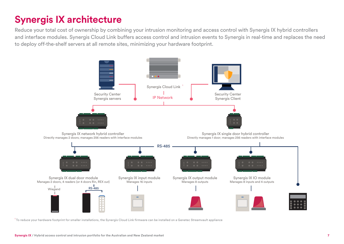# **Synergis IX architecture**

Reduce your total cost of ownership by combining your intrusion monitoring and access control with Synergis IX hybrid controllers and interface modules. Synergis Cloud Link buffers access control and intrusion events to Synergis in real-time and replaces the need to deploy off-the-shelf servers at all remote sites, minimizing your hardware footprint.



1 To reduce your hardware footprint for smaller installations, the Synergis Cloud Link firmware can be installed on a Genetec Streamvault appliance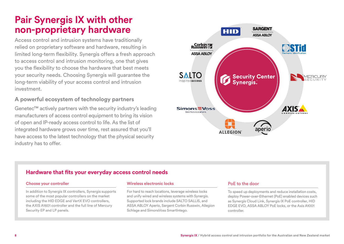# **Pair Synergis IX with other non-proprietary hardware**

Access control and intrusion systems have traditionally relied on proprietary software and hardware, resulting in limited long-term flexibility. Synergis offers a fresh approach to access control and intrusion monitoring, one that gives you the flexibility to choose the hardware that best meets your security needs. Choosing Synergis will guarantee the long-term viability of your access control and intrusion investment.

## **A powerful ecosystem of technology partners**

Genetec™ actively partners with the security industry's leading manufacturers of access control equipment to bring its vision of open and IP-ready access control to life. As the list of integrated hardware grows over time, rest assured that you'll have access to the latest technology that the physical security industry has to offer.



## **Hardware that fits your everyday access control needs**

#### **Choose your controller**

In addition to Synergis IX controllers, Synergis supports some of the most popular controllers on the market including the HID EDGE and VertX EVO controllers, the AXIS A1601 controller and the full line of Mercury Security EP and LP panels.

#### **Wireless electronic locks**

For hard to reach locations, leverage wireless locks and unify wired and wireless systems with Synergis. Supported lock brands include SALTO SALLIS, and ASSA ABLOY Aperio, Sargent Corbin Russwin, Allegion Schlage and SimonsVoss SmartIntego.

#### PoE to the door

To speed up deployments and reduce installation costs, deploy Power-over-Ethernet (PoE) enabled devices such as Synergis Cloud Link, Synergis IX PoE controller, HID EDGE EVO, ASSA ABLOY PoE locks, or the Axis A1001 controller.